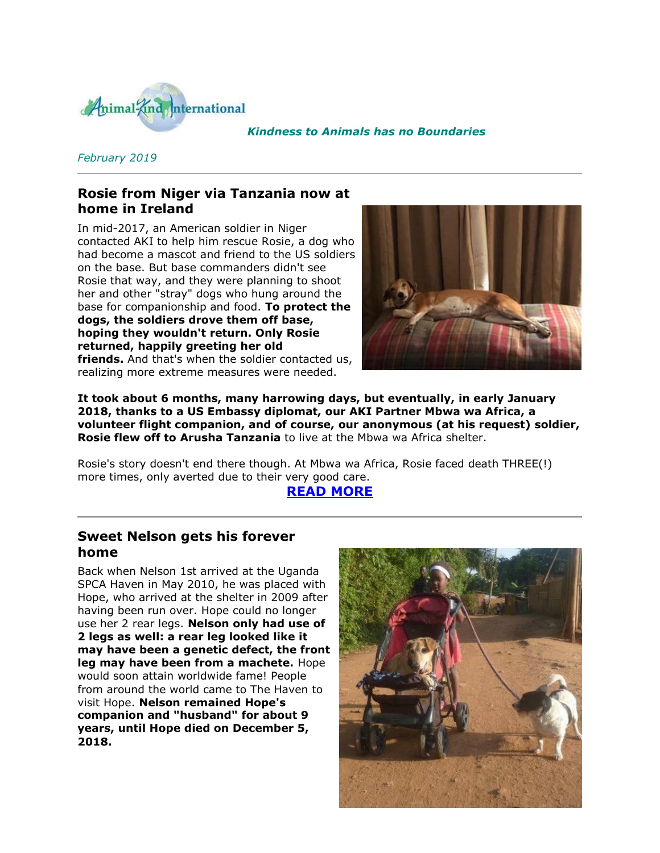

#### *Kindness to Animals has no Boundaries*

### *February 2019*

## **Rosie from Niger via Tanzania now at home in Ireland**

In mid-2017, an American soldier in Niger contacted AKI to help him rescue Rosie, a dog who had become a mascot and friend to the US soldiers on the base. But base commanders didn't see Rosie that way, and they were planning to shoot her and other "stray" dogs who hung around the base for companionship and food. **To protect the dogs, the soldiers drove them off base, hoping they wouldn't return. Only Rosie returned, happily greeting her old friends.** And that's when the soldier contacted us, realizing more extreme measures were needed.



**It took about 6 months, many harrowing days, but eventually, in early January 2018, thanks to a US Embassy diplomat, our AKI Partner Mbwa wa Africa, a volunteer flight companion, and of course, our anonymous (at his request) soldier, Rosie flew off to Arusha Tanzania** to live at the Mbwa wa Africa shelter.

Rosie's story doesn't end there though. At Mbwa wa Africa, Rosie faced death THREE(!) more times, only averted due to their very good care.

#### **[READ MORE](http://cts.vresp.com/c/?AnimalKindInternatio/174e0aba48/f33df9aebc/5713f5f2d1)**

### **Sweet Nelson gets his forever home**

Back when Nelson 1st arrived at the Uganda SPCA Haven in May 2010, he was placed with Hope, who arrived at the shelter in 2009 after having been run over. Hope could no longer use her 2 rear legs. **Nelson only had use of 2 legs as well: a rear leg looked like it may have been a genetic defect, the front leg may have been from a machete.** Hope would soon attain worldwide fame! People from around the world came to The Haven to visit Hope. **Nelson remained Hope's companion and "husband" for about 9 years, until Hope died on December 5, 2018.**

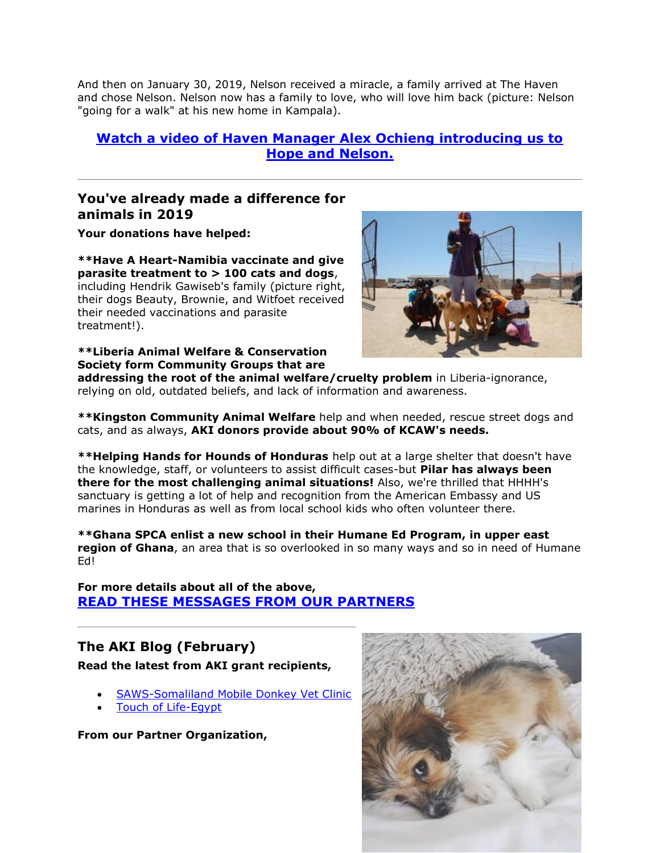And then on January 30, 2019, Nelson received a miracle, a family arrived at The Haven and chose Nelson. Nelson now has a family to love, who will love him back (picture: Nelson "going for a walk" at his new home in Kampala).

## **[Watch a video of Haven Manager Alex Ochieng introducing us to](http://cts.vresp.com/c/?AnimalKindInternatio/174e0aba48/f33df9aebc/c8b8cf64ef)  [Hope and Nelson.](http://cts.vresp.com/c/?AnimalKindInternatio/174e0aba48/f33df9aebc/c8b8cf64ef)**

## **You've already made a difference for animals in 2019**

**Your donations have helped:**

**\*\*Have A Heart-Namibia vaccinate and give parasite treatment to > 100 cats and dogs**, including Hendrik Gawiseb's family (picture right, their dogs Beauty, Brownie, and Witfoet received their needed vaccinations and parasite treatment!).

**\*\*Liberia Animal Welfare & Conservation Society form Community Groups that are** 



**addressing the root of the animal welfare/cruelty problem** in Liberia-ignorance, relying on old, outdated beliefs, and lack of information and awareness.

**\*\*Kingston Community Animal Welfare** help and when needed, rescue street dogs and cats, and as always, **AKI donors provide about 90% of KCAW's needs.**

**\*\*Helping Hands for Hounds of Honduras** help out at a large shelter that doesn't have the knowledge, staff, or volunteers to assist difficult cases-but **Pilar has always been there for the most challenging animal situations!** Also, we're thrilled that HHHH's sanctuary is getting a lot of help and recognition from the American Embassy and US marines in Honduras as well as from local school kids who often volunteer there.

**\*\*Ghana SPCA enlist a new school in their Humane Ed Program, in upper east region of Ghana**, an area that is so overlooked in so many ways and so in need of Humane Ed!

**For more details about all of the above, [READ THESE MESSAGES FROM OUR PARTNERS](http://cts.vresp.com/c/?AnimalKindInternatio/174e0aba48/f33df9aebc/016d8e4719)**

# **The AKI Blog (February)**

**Read the latest from AKI grant recipients,**

- [SAWS-Somaliland Mobile Donkey Vet Clinic](http://cts.vresp.com/c/?AnimalKindInternatio/174e0aba48/f33df9aebc/691bab4610)
- [Touch of Life-Egypt](http://cts.vresp.com/c/?AnimalKindInternatio/174e0aba48/f33df9aebc/b81bee02ed)

**From our Partner Organization,**

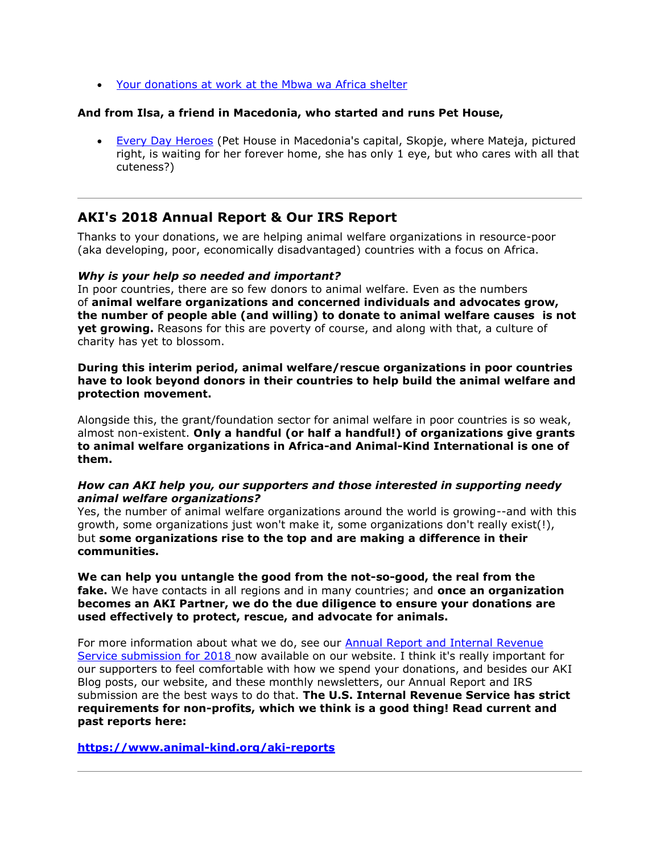[Your donations at work at the Mbwa wa Africa shelter](http://cts.vresp.com/c/?AnimalKindInternatio/174e0aba48/f33df9aebc/0dee75d8bf)

#### **And from Ilsa, a friend in Macedonia, who started and runs Pet House,**

 [Every Day Heroes](http://cts.vresp.com/c/?AnimalKindInternatio/174e0aba48/f33df9aebc/4eec0feb6e) (Pet House in Macedonia's capital, Skopje, where Mateja, pictured right, is waiting for her forever home, she has only 1 eye, but who cares with all that cuteness?)

### **AKI's 2018 Annual Report & Our IRS Report**

Thanks to your donations, we are helping animal welfare organizations in resource-poor (aka developing, poor, economically disadvantaged) countries with a focus on Africa.

#### *Why is your help so needed and important?*

In poor countries, there are so few donors to animal welfare. Even as the numbers of **animal welfare organizations and concerned individuals and advocates grow, the number of people able (and willing) to donate to animal welfare causes is not yet growing.** Reasons for this are poverty of course, and along with that, a culture of charity has yet to blossom.

**During this interim period, animal welfare/rescue organizations in poor countries have to look beyond donors in their countries to help build the animal welfare and protection movement.**

Alongside this, the grant/foundation sector for animal welfare in poor countries is so weak, almost non-existent. **Only a handful (or half a handful!) of organizations give grants to animal welfare organizations in Africa-and Animal-Kind International is one of them.**

#### *How can AKI help you, our supporters and those interested in supporting needy animal welfare organizations?*

Yes, the number of animal welfare organizations around the world is growing--and with this growth, some organizations just won't make it, some organizations don't really exist(!), but **some organizations rise to the top and are making a difference in their communities.**

**We can help you untangle the good from the not-so-good, the real from the fake.** We have contacts in all regions and in many countries; and **once an organization becomes an AKI Partner, we do the due diligence to ensure your donations are used effectively to protect, rescue, and advocate for animals.**

For more information about what we do, see our [Annual Report and Internal Revenue](http://cts.vresp.com/c/?AnimalKindInternatio/174e0aba48/f33df9aebc/632a512899)  [Service submission for 2018](http://cts.vresp.com/c/?AnimalKindInternatio/174e0aba48/f33df9aebc/632a512899) now available on our website. I think it's really important for our supporters to feel comfortable with how we spend your donations, and besides our AKI Blog posts, our website, and these monthly newsletters, our Annual Report and IRS submission are the best ways to do that. **The U.S. Internal Revenue Service has strict requirements for non-profits, which we think is a good thing! Read current and past reports here:**

**[https://www.animal-kind.org/aki-reports](http://cts.vresp.com/c/?AnimalKindInternatio/174e0aba48/f33df9aebc/ccf032ac7e)**